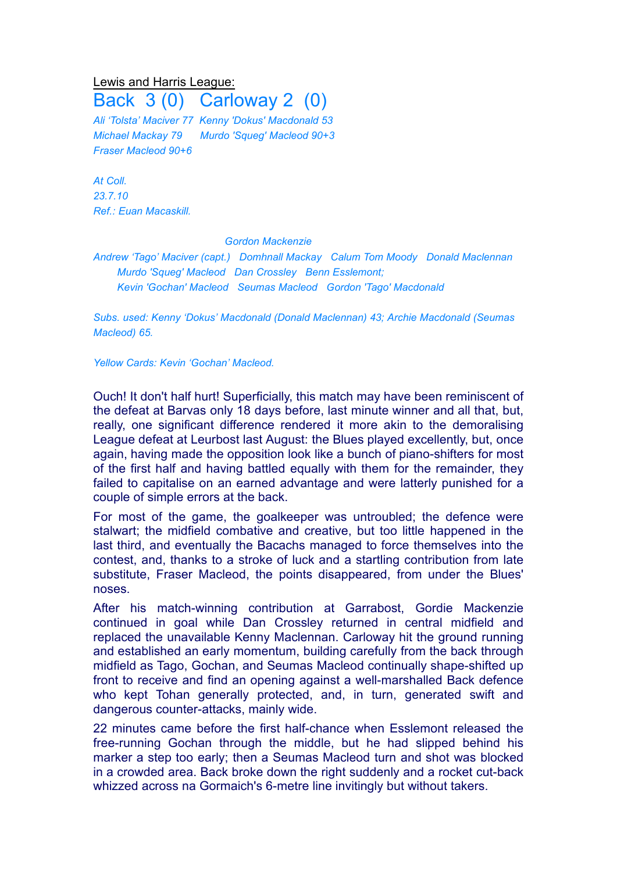## Lewis and Harris League:

Back 3 (0) Carloway 2 (0)

*Ali 'Tolsta' Maciver 77 Kenny 'Dokus' Macdonald 53 Michael Mackay 79 Murdo 'Squeg' Macleod 90+3 Fraser Macleod 90+6*

*At Coll. 23.7.10 Ref.: Euan Macaskill.*

## *Gordon Mackenzie*

*Andrew 'Tago' Maciver (capt.) Domhnall Mackay Calum Tom Moody Donald Maclennan Murdo 'Squeg' Macleod Dan Crossley Benn Esslemont; Kevin 'Gochan' Macleod Seumas Macleod Gordon 'Tago' Macdonald*

*Subs. used: Kenny 'Dokus' Macdonald (Donald Maclennan) 43; Archie Macdonald (Seumas Macleod) 65.*

*Yellow Cards: Kevin 'Gochan' Macleod.*

Ouch! It don't half hurt! Superficially, this match may have been reminiscent of the defeat at Barvas only 18 days before, last minute winner and all that, but, really, one significant difference rendered it more akin to the demoralising League defeat at Leurbost last August: the Blues played excellently, but, once again, having made the opposition look like a bunch of piano-shifters for most of the first half and having battled equally with them for the remainder, they failed to capitalise on an earned advantage and were latterly punished for a couple of simple errors at the back.

For most of the game, the goalkeeper was untroubled; the defence were stalwart; the midfield combative and creative, but too little happened in the last third, and eventually the Bacachs managed to force themselves into the contest, and, thanks to a stroke of luck and a startling contribution from late substitute, Fraser Macleod, the points disappeared, from under the Blues' noses.

After his match-winning contribution at Garrabost, Gordie Mackenzie continued in goal while Dan Crossley returned in central midfield and replaced the unavailable Kenny Maclennan. Carloway hit the ground running and established an early momentum, building carefully from the back through midfield as Tago, Gochan, and Seumas Macleod continually shape-shifted up front to receive and find an opening against a well-marshalled Back defence who kept Tohan generally protected, and, in turn, generated swift and dangerous counter-attacks, mainly wide.

22 minutes came before the first half-chance when Esslemont released the free-running Gochan through the middle, but he had slipped behind his marker a step too early; then a Seumas Macleod turn and shot was blocked in a crowded area. Back broke down the right suddenly and a rocket cut-back whizzed across na Gormaich's 6-metre line invitingly but without takers.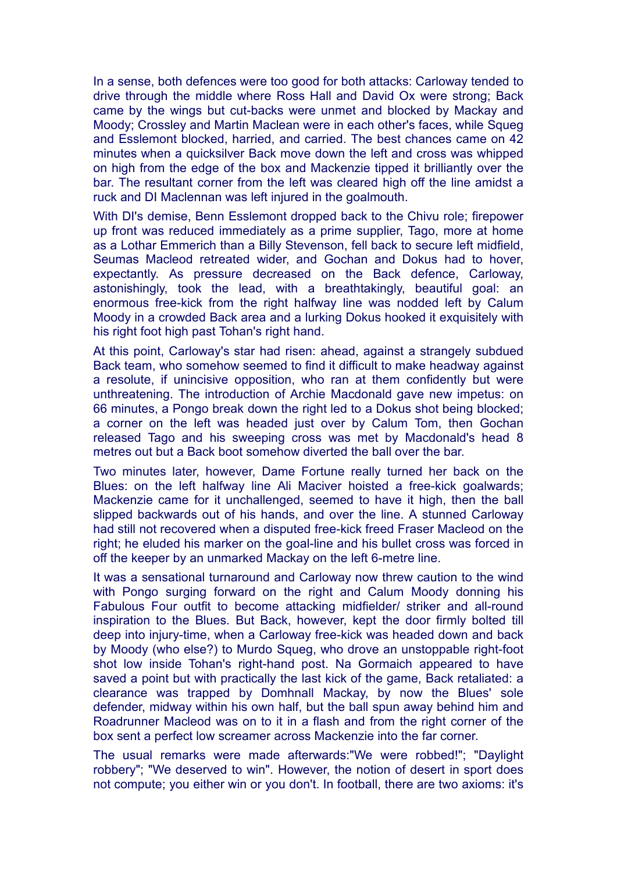In a sense, both defences were too good for both attacks: Carloway tended to drive through the middle where Ross Hall and David Ox were strong; Back came by the wings but cut-backs were unmet and blocked by Mackay and Moody; Crossley and Martin Maclean were in each other's faces, while Squeg and Esslemont blocked, harried, and carried. The best chances came on 42 minutes when a quicksilver Back move down the left and cross was whipped on high from the edge of the box and Mackenzie tipped it brilliantly over the bar. The resultant corner from the left was cleared high off the line amidst a ruck and DI Maclennan was left injured in the goalmouth.

With DI's demise, Benn Esslemont dropped back to the Chivu role; firepower up front was reduced immediately as a prime supplier, Tago, more at home as a Lothar Emmerich than a Billy Stevenson, fell back to secure left midfield, Seumas Macleod retreated wider, and Gochan and Dokus had to hover, expectantly. As pressure decreased on the Back defence, Carloway, astonishingly, took the lead, with a breathtakingly, beautiful goal: an enormous free-kick from the right halfway line was nodded left by Calum Moody in a crowded Back area and a lurking Dokus hooked it exquisitely with his right foot high past Tohan's right hand.

At this point, Carloway's star had risen: ahead, against a strangely subdued Back team, who somehow seemed to find it difficult to make headway against a resolute, if unincisive opposition, who ran at them confidently but were unthreatening. The introduction of Archie Macdonald gave new impetus: on 66 minutes, a Pongo break down the right led to a Dokus shot being blocked; a corner on the left was headed just over by Calum Tom, then Gochan released Tago and his sweeping cross was met by Macdonald's head 8 metres out but a Back boot somehow diverted the ball over the bar.

Two minutes later, however, Dame Fortune really turned her back on the Blues: on the left halfway line Ali Maciver hoisted a free-kick goalwards; Mackenzie came for it unchallenged, seemed to have it high, then the ball slipped backwards out of his hands, and over the line. A stunned Carloway had still not recovered when a disputed free-kick freed Fraser Macleod on the right; he eluded his marker on the goal-line and his bullet cross was forced in off the keeper by an unmarked Mackay on the left 6-metre line.

It was a sensational turnaround and Carloway now threw caution to the wind with Pongo surging forward on the right and Calum Moody donning his Fabulous Four outfit to become attacking midfielder/ striker and all-round inspiration to the Blues. But Back, however, kept the door firmly bolted till deep into injury-time, when a Carloway free-kick was headed down and back by Moody (who else?) to Murdo Squeg, who drove an unstoppable right-foot shot low inside Tohan's right-hand post. Na Gormaich appeared to have saved a point but with practically the last kick of the game, Back retaliated: a clearance was trapped by Domhnall Mackay, by now the Blues' sole defender, midway within his own half, but the ball spun away behind him and Roadrunner Macleod was on to it in a flash and from the right corner of the box sent a perfect low screamer across Mackenzie into the far corner.

The usual remarks were made afterwards:"We were robbed!"; "Daylight robbery"; "We deserved to win". However, the notion of desert in sport does not compute; you either win or you don't. In football, there are two axioms: it's